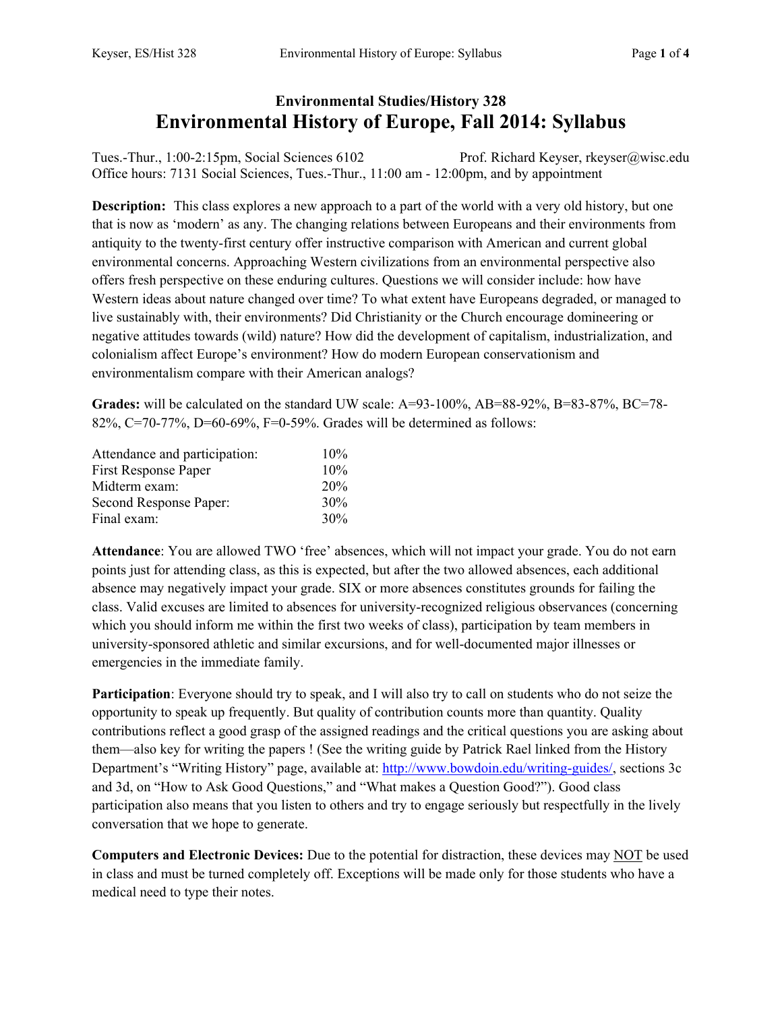## **Environmental Studies/History 328 Environmental History of Europe, Fall 2014: Syllabus**

Tues.-Thur., 1:00-2:15pm, Social Sciences 6102 Prof. Richard Keyser, rkeyser@wisc.edu Office hours: 7131 Social Sciences, Tues.-Thur., 11:00 am - 12:00pm, and by appointment

**Description:** This class explores a new approach to a part of the world with a very old history, but one that is now as 'modern' as any. The changing relations between Europeans and their environments from antiquity to the twenty-first century offer instructive comparison with American and current global environmental concerns. Approaching Western civilizations from an environmental perspective also offers fresh perspective on these enduring cultures. Questions we will consider include: how have Western ideas about nature changed over time? To what extent have Europeans degraded, or managed to live sustainably with, their environments? Did Christianity or the Church encourage domineering or negative attitudes towards (wild) nature? How did the development of capitalism, industrialization, and colonialism affect Europe's environment? How do modern European conservationism and environmentalism compare with their American analogs?

**Grades:** will be calculated on the standard UW scale: A=93-100%, AB=88-92%, B=83-87%, BC=78-82%, C=70-77%, D=60-69%, F=0-59%. Grades will be determined as follows:

| Attendance and participation: | 10% |
|-------------------------------|-----|
| First Response Paper          | 10% |
| Midterm exam:                 | 20% |
| Second Response Paper:        | 30% |
| Final exam:                   | 30% |

**Attendance**: You are allowed TWO 'free' absences, which will not impact your grade. You do not earn points just for attending class, as this is expected, but after the two allowed absences, each additional absence may negatively impact your grade. SIX or more absences constitutes grounds for failing the class. Valid excuses are limited to absences for university-recognized religious observances (concerning which you should inform me within the first two weeks of class), participation by team members in university-sponsored athletic and similar excursions, and for well-documented major illnesses or emergencies in the immediate family.

**Participation**: Everyone should try to speak, and I will also try to call on students who do not seize the opportunity to speak up frequently. But quality of contribution counts more than quantity. Quality contributions reflect a good grasp of the assigned readings and the critical questions you are asking about them—also key for writing the papers ! (See the writing guide by Patrick Rael linked from the History Department's "Writing History" page, available at: http://www.bowdoin.edu/writing-guides/, sections 3c and 3d, on "How to Ask Good Questions," and "What makes a Question Good?"). Good class participation also means that you listen to others and try to engage seriously but respectfully in the lively conversation that we hope to generate.

**Computers and Electronic Devices:** Due to the potential for distraction, these devices may NOT be used in class and must be turned completely off. Exceptions will be made only for those students who have a medical need to type their notes.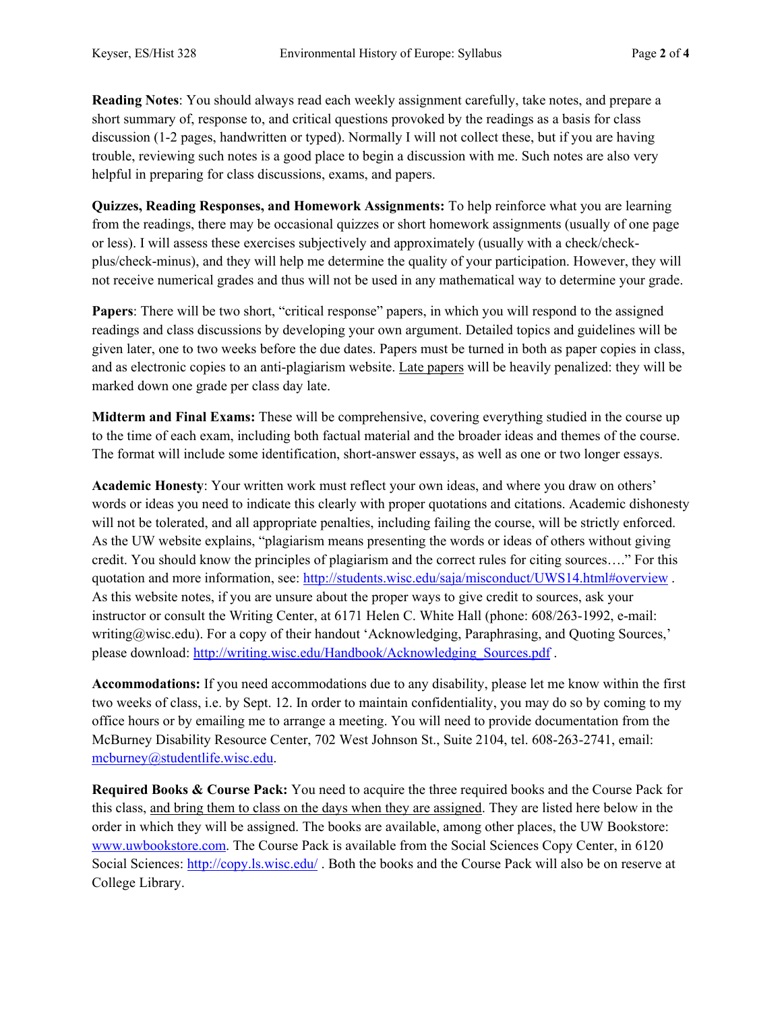**Reading Notes**: You should always read each weekly assignment carefully, take notes, and prepare a short summary of, response to, and critical questions provoked by the readings as a basis for class discussion (1-2 pages, handwritten or typed). Normally I will not collect these, but if you are having trouble, reviewing such notes is a good place to begin a discussion with me. Such notes are also very helpful in preparing for class discussions, exams, and papers.

**Quizzes, Reading Responses, and Homework Assignments:** To help reinforce what you are learning from the readings, there may be occasional quizzes or short homework assignments (usually of one page or less). I will assess these exercises subjectively and approximately (usually with a check/checkplus/check-minus), and they will help me determine the quality of your participation. However, they will not receive numerical grades and thus will not be used in any mathematical way to determine your grade.

**Papers**: There will be two short, "critical response" papers, in which you will respond to the assigned readings and class discussions by developing your own argument. Detailed topics and guidelines will be given later, one to two weeks before the due dates. Papers must be turned in both as paper copies in class, and as electronic copies to an anti-plagiarism website. Late papers will be heavily penalized: they will be marked down one grade per class day late.

**Midterm and Final Exams:** These will be comprehensive, covering everything studied in the course up to the time of each exam, including both factual material and the broader ideas and themes of the course. The format will include some identification, short-answer essays, as well as one or two longer essays.

**Academic Honesty**: Your written work must reflect your own ideas, and where you draw on others' words or ideas you need to indicate this clearly with proper quotations and citations. Academic dishonesty will not be tolerated, and all appropriate penalties, including failing the course, will be strictly enforced. As the UW website explains, "plagiarism means presenting the words or ideas of others without giving credit. You should know the principles of plagiarism and the correct rules for citing sources…." For this quotation and more information, see: http://students.wisc.edu/saja/misconduct/UWS14.html#overview . As this website notes, if you are unsure about the proper ways to give credit to sources, ask your instructor or consult the Writing Center, at 6171 Helen C. White Hall (phone: 608/263-1992, e-mail: writing@wisc.edu). For a copy of their handout 'Acknowledging, Paraphrasing, and Quoting Sources,' please download: http://writing.wisc.edu/Handbook/Acknowledging\_Sources.pdf .

**Accommodations:** If you need accommodations due to any disability, please let me know within the first two weeks of class, i.e. by Sept. 12. In order to maintain confidentiality, you may do so by coming to my office hours or by emailing me to arrange a meeting. You will need to provide documentation from the McBurney Disability Resource Center, 702 West Johnson St., Suite 2104, tel. 608-263-2741, email: mcburney@studentlife.wisc.edu.

**Required Books & Course Pack:** You need to acquire the three required books and the Course Pack for this class, and bring them to class on the days when they are assigned. They are listed here below in the order in which they will be assigned. The books are available, among other places, the UW Bookstore: www.uwbookstore.com. The Course Pack is available from the Social Sciences Copy Center, in 6120 Social Sciences: http://copy.ls.wisc.edu/. Both the books and the Course Pack will also be on reserve at College Library.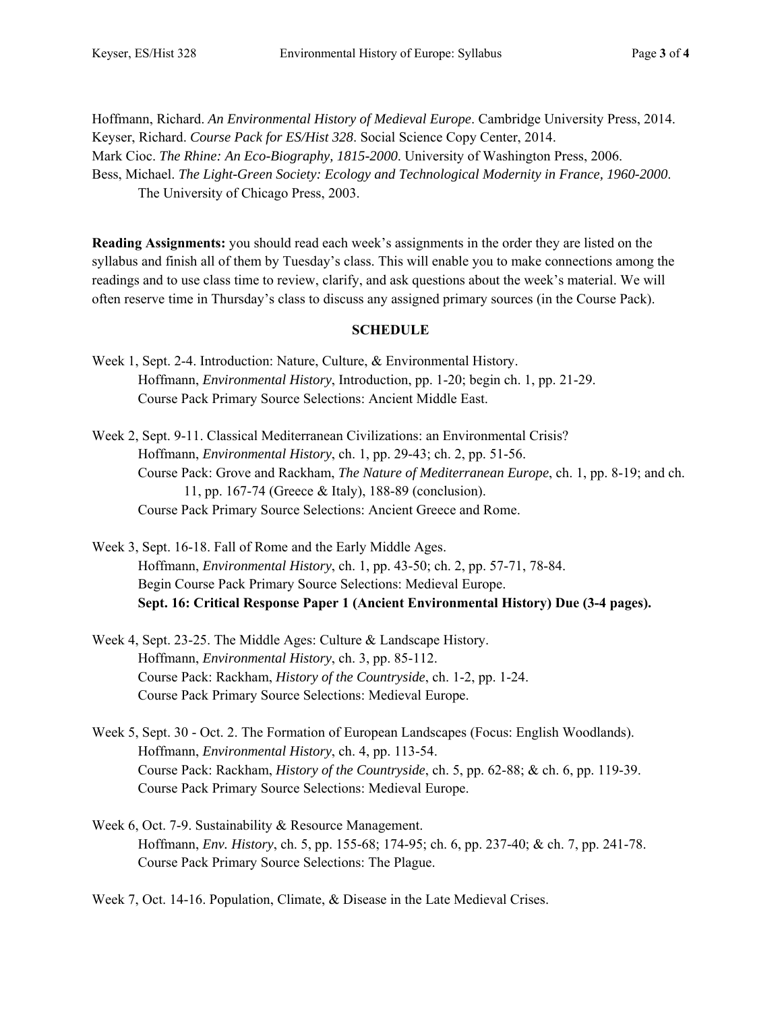Hoffmann, Richard. *An Environmental History of Medieval Europe*. Cambridge University Press, 2014. Keyser, Richard. *Course Pack for ES/Hist 328*. Social Science Copy Center, 2014. Mark Cioc. *The Rhine: An Eco-Biography, 1815-2000*. University of Washington Press, 2006. Bess, Michael. *The Light-Green Society: Ecology and Technological Modernity in France, 1960-2000*. The University of Chicago Press, 2003.

**Reading Assignments:** you should read each week's assignments in the order they are listed on the syllabus and finish all of them by Tuesday's class. This will enable you to make connections among the readings and to use class time to review, clarify, and ask questions about the week's material. We will often reserve time in Thursday's class to discuss any assigned primary sources (in the Course Pack).

## **SCHEDULE**

- Week 1, Sept. 2-4. Introduction: Nature, Culture, & Environmental History. Hoffmann, *Environmental History*, Introduction, pp. 1-20; begin ch. 1, pp. 21-29. Course Pack Primary Source Selections: Ancient Middle East.
- Week 2, Sept. 9-11. Classical Mediterranean Civilizations: an Environmental Crisis? Hoffmann, *Environmental History*, ch. 1, pp. 29-43; ch. 2, pp. 51-56. Course Pack: Grove and Rackham, *The Nature of Mediterranean Europe*, ch. 1, pp. 8-19; and ch. 11, pp. 167-74 (Greece & Italy), 188-89 (conclusion). Course Pack Primary Source Selections: Ancient Greece and Rome.
- Week 3, Sept. 16-18. Fall of Rome and the Early Middle Ages. Hoffmann, *Environmental History*, ch. 1, pp. 43-50; ch. 2, pp. 57-71, 78-84. Begin Course Pack Primary Source Selections: Medieval Europe. **Sept. 16: Critical Response Paper 1 (Ancient Environmental History) Due (3-4 pages).**
- Week 4, Sept. 23-25. The Middle Ages: Culture & Landscape History. Hoffmann, *Environmental History*, ch. 3, pp. 85-112. Course Pack: Rackham, *History of the Countryside*, ch. 1-2, pp. 1-24. Course Pack Primary Source Selections: Medieval Europe.
- Week 5, Sept. 30 Oct. 2. The Formation of European Landscapes (Focus: English Woodlands). Hoffmann, *Environmental History*, ch. 4, pp. 113-54. Course Pack: Rackham, *History of the Countryside*, ch. 5, pp. 62-88; & ch. 6, pp. 119-39. Course Pack Primary Source Selections: Medieval Europe.
- Week 6, Oct. 7-9. Sustainability & Resource Management. Hoffmann, *Env. History*, ch. 5, pp. 155-68; 174-95; ch. 6, pp. 237-40; & ch. 7, pp. 241-78. Course Pack Primary Source Selections: The Plague.

Week 7, Oct. 14-16. Population, Climate, & Disease in the Late Medieval Crises.